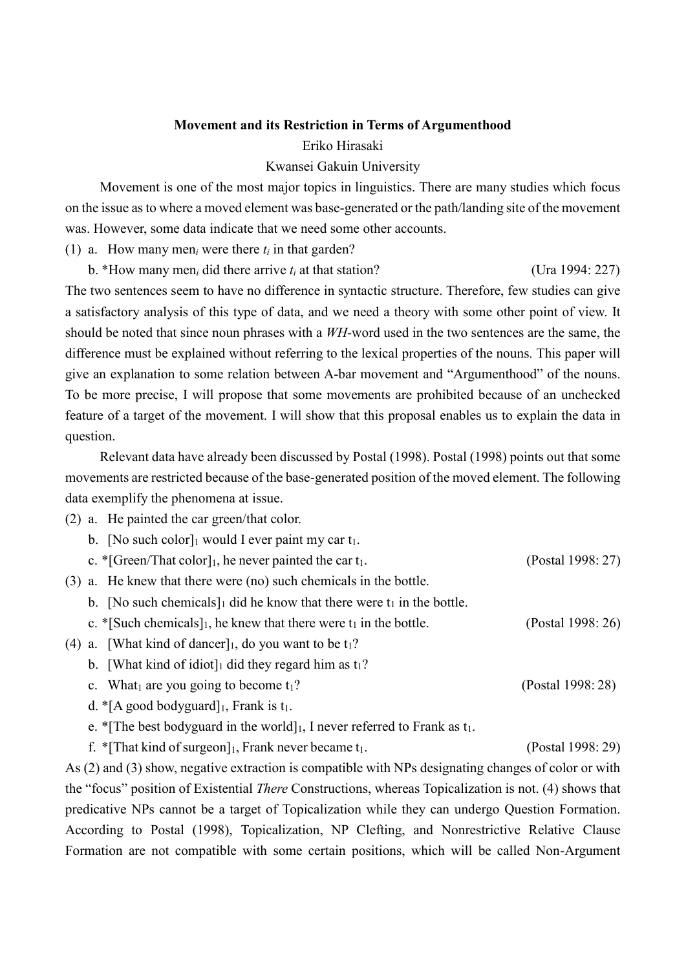# **Movement and its Restriction in Terms of Argumenthood** Eriko Hirasaki

## Kwansei Gakuin University

 Movement is one of the most major topics in linguistics. There are many studies which focus on the issue as to where a moved element was base-generated or the path/landing site of the movement was. However, some data indicate that we need some other accounts.

(1) a. How many men*<sup>i</sup>* were there *t<sup>i</sup>* in that garden?

b. \*How many men<sub>*i*</sub> did there arrive  $t_i$  at that station? (Ura 1994: 227)

The two sentences seem to have no difference in syntactic structure. Therefore, few studies can give a satisfactory analysis of this type of data, and we need a theory with some other point of view. It should be noted that since noun phrases with a *WH*-word used in the two sentences are the same, the difference must be explained without referring to the lexical properties of the nouns*.* This paper will give an explanation to some relation between A-bar movement and "Argumenthood" of the nouns. To be more precise, I will propose that some movements are prohibited because of an unchecked feature of a target of the movement. I will show that this proposal enables us to explain the data in question.

 Relevant data have already been discussed by Postal (1998). Postal (1998) points out that some movements are restricted because of the base-generated position of the moved element. The following data exemplify the phenomena at issue.

(2) a. He painted the car green/that color.

|     | b. [No such color] $_1$ would I ever paint my car $t_1$ .                    |                   |
|-----|------------------------------------------------------------------------------|-------------------|
|     | c. * [Green/That color], he never painted the car $t_1$ .                    | (Postal 1998: 27) |
| (3) | a. He knew that there were (no) such chemicals in the bottle.                |                   |
|     | b. [No such chemicals] did he know that there were $t_1$ in the bottle.      |                   |
|     | c. * [Such chemicals], he knew that there were $t_1$ in the bottle.          | (Postal 1998: 26) |
| (4) | a. [What kind of dancer], do you want to be $t_1$ ?                          |                   |
|     | b. [What kind of idiot] did they regard him as $t_1$ ?                       |                   |
|     | c. What are you going to become $t_1$ ?                                      | (Postal 1998: 28) |
|     | d. * [A good bodyguard] $_1$ , Frank is $t_1$ .                              |                   |
|     | e. * [The best bodyguard in the world], I never referred to Frank as $t_1$ . |                   |

f. \*[That kind of surgeon]<sub>1</sub>, Frank never became  $t_1$ . (Postal 1998: 29)

As (2) and (3) show, negative extraction is compatible with NPs designating changes of color or with the "focus" position of Existential *There* Constructions, whereas Topicalization is not. (4) shows that predicative NPs cannot be a target of Topicalization while they can undergo Question Formation. According to Postal (1998), Topicalization, NP Clefting, and Nonrestrictive Relative Clause Formation are not compatible with some certain positions, which will be called Non-Argument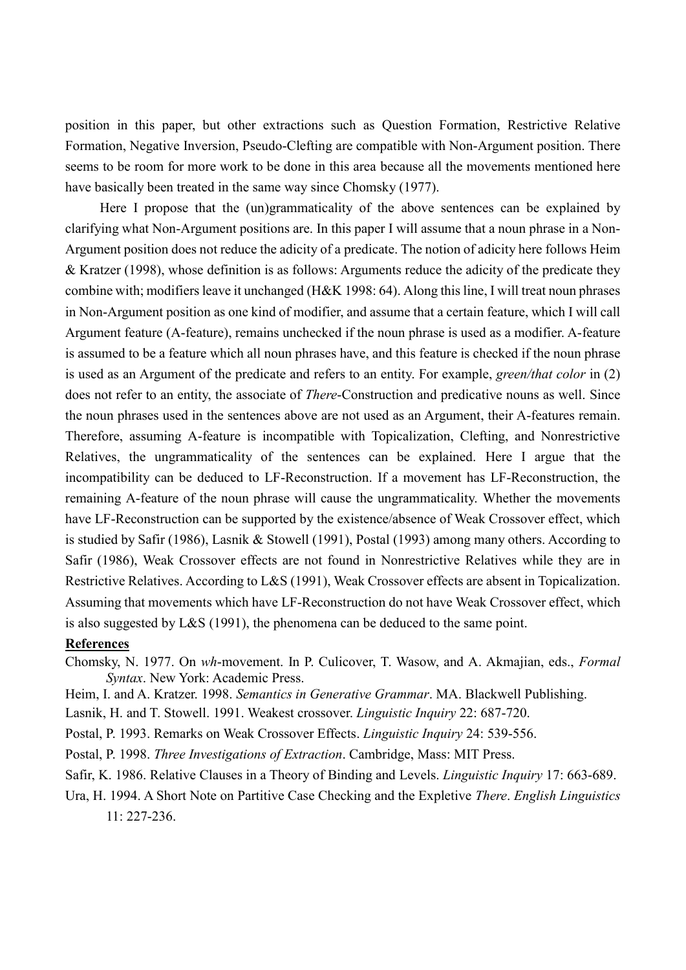position in this paper, but other extractions such as Question Formation, Restrictive Relative Formation, Negative Inversion, Pseudo-Clefting are compatible with Non-Argument position. There seems to be room for more work to be done in this area because all the movements mentioned here have basically been treated in the same way since Chomsky (1977).

 Here I propose that the (un)grammaticality of the above sentences can be explained by clarifying what Non-Argument positions are. In this paper I will assume that a noun phrase in a Non-Argument position does not reduce the adicity of a predicate. The notion of adicity here follows Heim & Kratzer (1998), whose definition is as follows: Arguments reduce the adicity of the predicate they combine with; modifiers leave it unchanged (H&K 1998: 64). Along this line, I will treat noun phrases in Non-Argument position as one kind of modifier, and assume that a certain feature, which I will call Argument feature (A-feature), remains unchecked if the noun phrase is used as a modifier. A-feature is assumed to be a feature which all noun phrases have, and this feature is checked if the noun phrase is used as an Argument of the predicate and refers to an entity. For example, *green/that color* in (2) does not refer to an entity, the associate of *There*-Construction and predicative nouns as well. Since the noun phrases used in the sentences above are not used as an Argument, their A-features remain. Therefore, assuming A-feature is incompatible with Topicalization, Clefting, and Nonrestrictive Relatives, the ungrammaticality of the sentences can be explained. Here I argue that the incompatibility can be deduced to LF-Reconstruction. If a movement has LF-Reconstruction, the remaining A-feature of the noun phrase will cause the ungrammaticality. Whether the movements have LF-Reconstruction can be supported by the existence/absence of Weak Crossover effect, which is studied by Safir (1986), Lasnik & Stowell (1991), Postal (1993) among many others. According to Safir (1986), Weak Crossover effects are not found in Nonrestrictive Relatives while they are in Restrictive Relatives. According to L&S (1991), Weak Crossover effects are absent in Topicalization. Assuming that movements which have LF-Reconstruction do not have Weak Crossover effect, which is also suggested by L&S (1991), the phenomena can be deduced to the same point.

### **References**

- Chomsky, N. 1977. On *wh*-movement. In P. Culicover, T. Wasow, and A. Akmajian, eds., *Formal Syntax*. New York: Academic Press.
- Heim, I. and A. Kratzer. 1998. *Semantics in Generative Grammar*. MA. Blackwell Publishing.

Lasnik, H. and T. Stowell. 1991. Weakest crossover. *Linguistic Inquiry* 22: 687-720.

Postal, P. 1993. Remarks on Weak Crossover Effects. *Linguistic Inquiry* 24: 539-556.

Postal, P. 1998. *Three Investigations of Extraction*. Cambridge, Mass: MIT Press.

Safir, K. 1986. Relative Clauses in a Theory of Binding and Levels. *Linguistic Inquiry* 17: 663-689.

Ura, H. 1994. A Short Note on Partitive Case Checking and the Expletive *There*. *English Linguistics* 11: 227-236.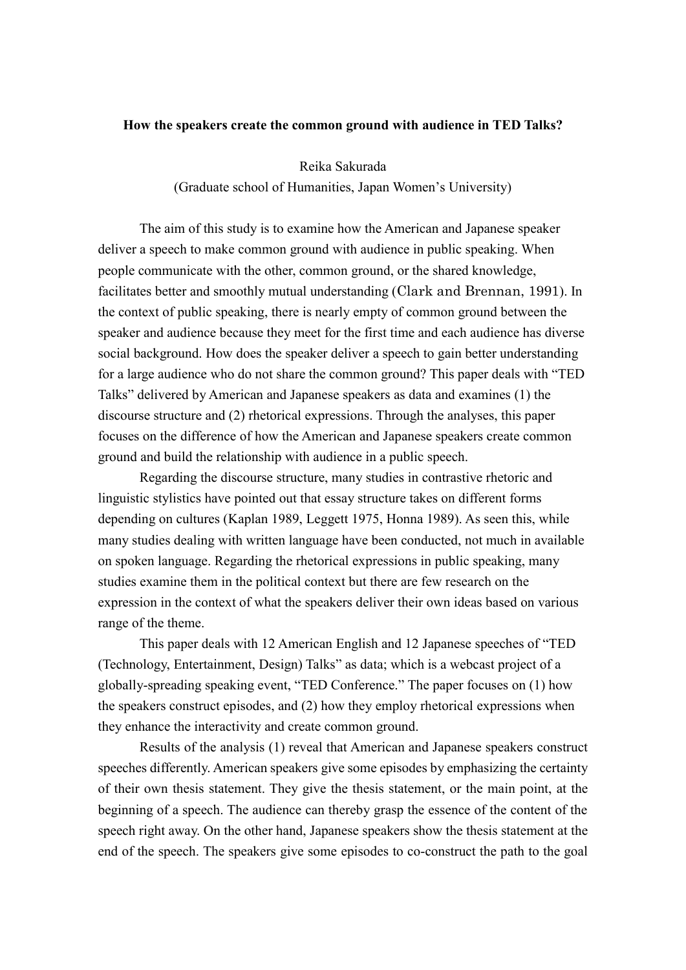### **How the speakers create the common ground with audience in TED Talks?**

Reika Sakurada

(Graduate school of Humanities, Japan Women's University)

The aim of this study is to examine how the American and Japanese speaker deliver a speech to make common ground with audience in public speaking. When people communicate with the other, common ground, or the shared knowledge, facilitates better and smoothly mutual understanding (Clark and Brennan, 1991). In the context of public speaking, there is nearly empty of common ground between the speaker and audience because they meet for the first time and each audience has diverse social background. How does the speaker deliver a speech to gain better understanding for a large audience who do not share the common ground? This paper deals with "TED Talks" delivered by American and Japanese speakers as data and examines (1) the discourse structure and (2) rhetorical expressions. Through the analyses, this paper focuses on the difference of how the American and Japanese speakers create common ground and build the relationship with audience in a public speech.

Regarding the discourse structure, many studies in contrastive rhetoric and linguistic stylistics have pointed out that essay structure takes on different forms depending on cultures (Kaplan 1989, Leggett 1975, Honna 1989). As seen this, while many studies dealing with written language have been conducted, not much in available on spoken language. Regarding the rhetorical expressions in public speaking, many studies examine them in the political context but there are few research on the expression in the context of what the speakers deliver their own ideas based on various range of the theme.

This paper deals with 12 American English and 12 Japanese speeches of "TED (Technology, Entertainment, Design) Talks" as data; which is a webcast project of a globally-spreading speaking event, "TED Conference." The paper focuses on (1) how the speakers construct episodes, and (2) how they employ rhetorical expressions when they enhance the interactivity and create common ground.

Results of the analysis (1) reveal that American and Japanese speakers construct speeches differently. American speakers give some episodes by emphasizing the certainty of their own thesis statement. They give the thesis statement, or the main point, at the beginning of a speech. The audience can thereby grasp the essence of the content of the speech right away. On the other hand, Japanese speakers show the thesis statement at the end of the speech. The speakers give some episodes to co-construct the path to the goal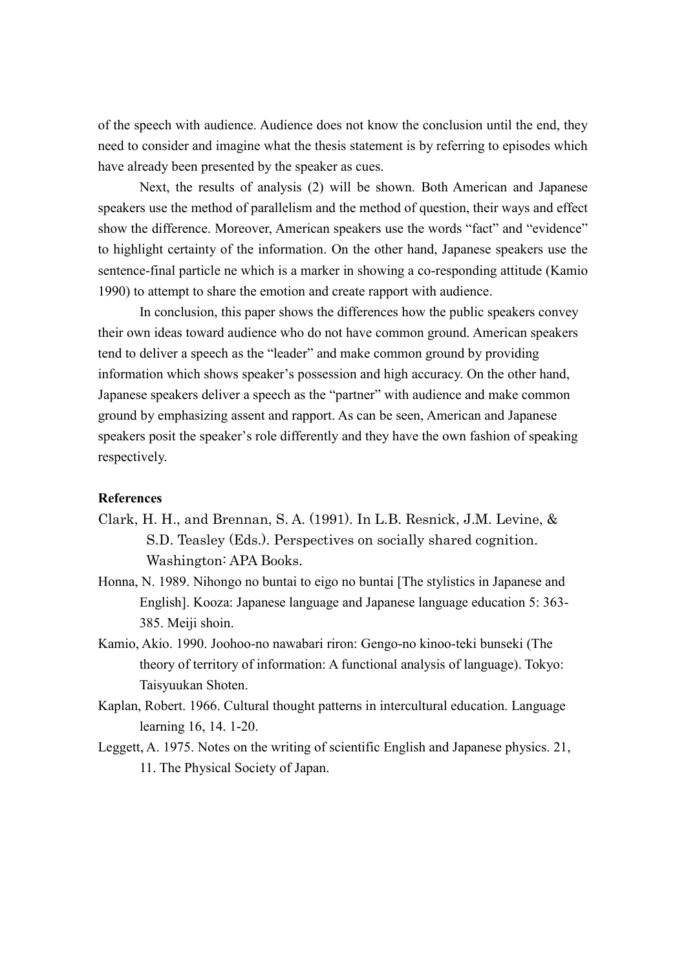of the speech with audience. Audience does not know the conclusion until the end, they need to consider and imagine what the thesis statement is by referring to episodes which have already been presented by the speaker as cues.

Next, the results of analysis (2) will be shown. Both American and Japanese speakers use the method of parallelism and the method of question, their ways and effect show the difference. Moreover, American speakers use the words "fact" and "evidence" to highlight certainty of the information. On the other hand, Japanese speakers use the sentence-final particle ne which is a marker in showing a co-responding attitude (Kamio 1990) to attempt to share the emotion and create rapport with audience.

In conclusion, this paper shows the differences how the public speakers convey their own ideas toward audience who do not have common ground. American speakers tend to deliver a speech as the "leader" and make common ground by providing information which shows speaker's possession and high accuracy. On the other hand, Japanese speakers deliver a speech as the "partner" with audience and make common ground by emphasizing assent and rapport. As can be seen, American and Japanese speakers posit the speaker's role differently and they have the own fashion of speaking respectively.

#### **References**

- Clark, H. H., and Brennan, S. A. (1991). In L.B. Resnick, J.M. Levine, & S.D. Teasley (Eds.). Perspectives on socially shared cognition. Washington: APA Books.
- Honna, N. 1989. Nihongo no buntai to eigo no buntai [The stylistics in Japanese and English]. Kooza: Japanese language and Japanese language education 5: 363- 385. Meiji shoin.
- Kamio, Akio. 1990. Joohoo-no nawabari riron: Gengo-no kinoo-teki bunseki (The theory of territory of information: A functional analysis of language). Tokyo: Taisyuukan Shoten.
- Kaplan, Robert. 1966. Cultural thought patterns in intercultural education. Language learning 16, 14. 1-20.
- Leggett, A. 1975. Notes on the writing of scientific English and Japanese physics. 21, 11. The Physical Society of Japan.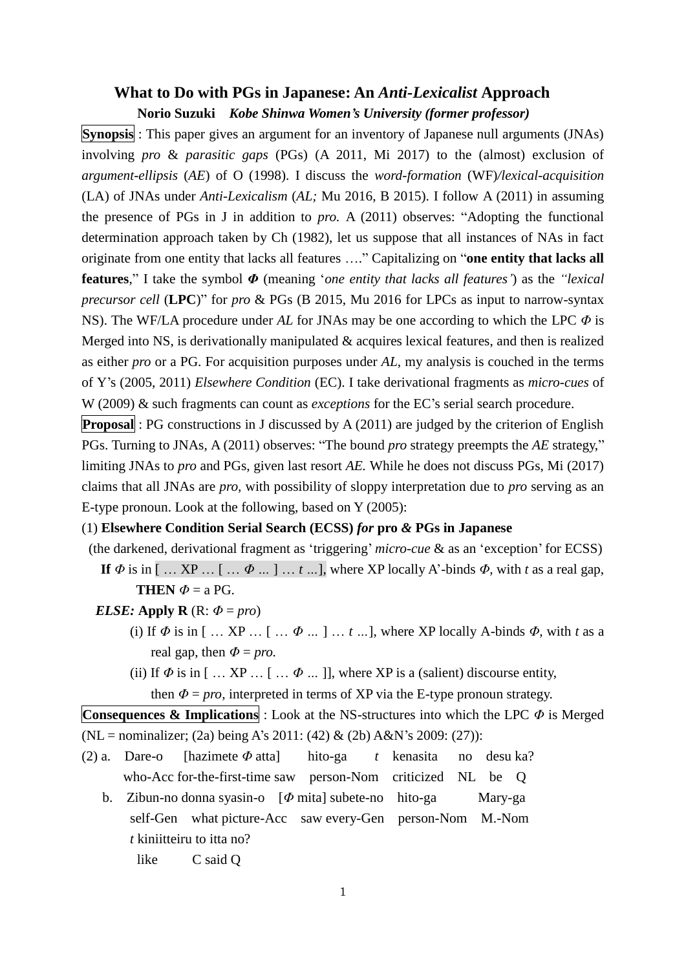# **What to Do with PGs in Japanese: An** *Anti-Lexicalist* **Approach**

## **Norio Suzuki** *Kobe Shinwa Women's University (former professor)*

**Synopsis** : This paper gives an argument for an inventory of Japanese null arguments (JNAs) involving *pro* & *parasitic gaps* (PGs) (A 2011, Mi 2017) to the (almost) exclusion of *argument-ellipsis* (*AE*) of O (1998). I discuss the *word-formation* (WF)*/lexical-acquisition* (LA) of JNAs under *Anti-Lexicalism* (*AL;* Mu 2016, B 2015). I follow A (2011) in assuming the presence of PGs in J in addition to *pro.* A (2011) observes: "Adopting the functional determination approach taken by Ch (1982), let us suppose that all instances of NAs in fact originate from one entity that lacks all features …." Capitalizing on "**one entity that lacks all features**," I take the symbol *Φ* (meaning '*one entity that lacks all features'*) as the *"lexical precursor cell* (**LPC**)" for *pro* & PGs (B 2015, Mu 2016 for LPCs as input to narrow-syntax NS). The WF/LA procedure under *AL* for JNAs may be one according to which the LPC *Φ* is Merged into NS, is derivationally manipulated & acquires lexical features, and then is realized as either *pro* or a PG. For acquisition purposes under *AL,* my analysis is couched in the terms of Y's (2005, 2011) *Elsewhere Condition* (EC). I take derivational fragments as *micro-cues* of W (2009) & such fragments can count as *exceptions* for the EC's serial search procedure.

**Proposal** : PG constructions in J discussed by A (2011) are judged by the criterion of English PGs. Turning to JNAs, A (2011) observes: "The bound *pro* strategy preempts the *AE* strategy," limiting JNAs to *pro* and PGs, given last resort *AE.* While he does not discuss PGs, Mi (2017) claims that all JNAs are *pro,* with possibility of sloppy interpretation due to *pro* serving as an E-type pronoun. Look at the following, based on Y (2005):

## (1) **Elsewhere Condition Serial Search (ECSS)** *for* **pro** *&* **PGs in Japanese**

- (the darkened, derivational fragment as 'triggering' *micro-cue* & as an 'exception' for ECSS)
	- **If**  $\Phi$  is in [... XP ... [...  $\Phi$  ...] ... *t* ...], where XP locally A'-binds  $\Phi$ , with *t* as a real gap, **THEN**  $\Phi$  = a PG.

### *ELSE:* Apply  $\bf{R}$  ( $\bf{R}$ :  $\Phi = pro$ )

- (i) If  $\Phi$  is in [... XP ... [...  $\Phi$  ...] ...  $t$  ...], where XP locally A-binds  $\Phi$ , with  $t$  as a real gap, then  $\Phi = pro$ .
- (ii) If  $\Phi$  is in [ ... XP ... [ ...  $\Phi$  ... ]], where XP is a (salient) discourse entity, then  $\Phi = pro$ , interpreted in terms of XP via the E-type pronoun strategy.

**Consequences & Implications** : Look at the NS-structures into which the LPC *Φ* is Merged (NL = nominalizer; (2a) being A's 2011: (42) & (2b) A&N's 2009: (27)):

- (2) a. Dare-o [hazimete *Φ* atta] hito-ga *t* kenasita no desu ka? who-Acc for-the-first-time saw person-Nom criticized NL be Q
	- b. Zibun-no donna syasin-o [*Φ* mita] subete-no hito-ga Mary-ga self-Gen what picture-Acc saw every-Gen person-Nom M.-Nom *t* kiniitteiru to itta no?

like C said Q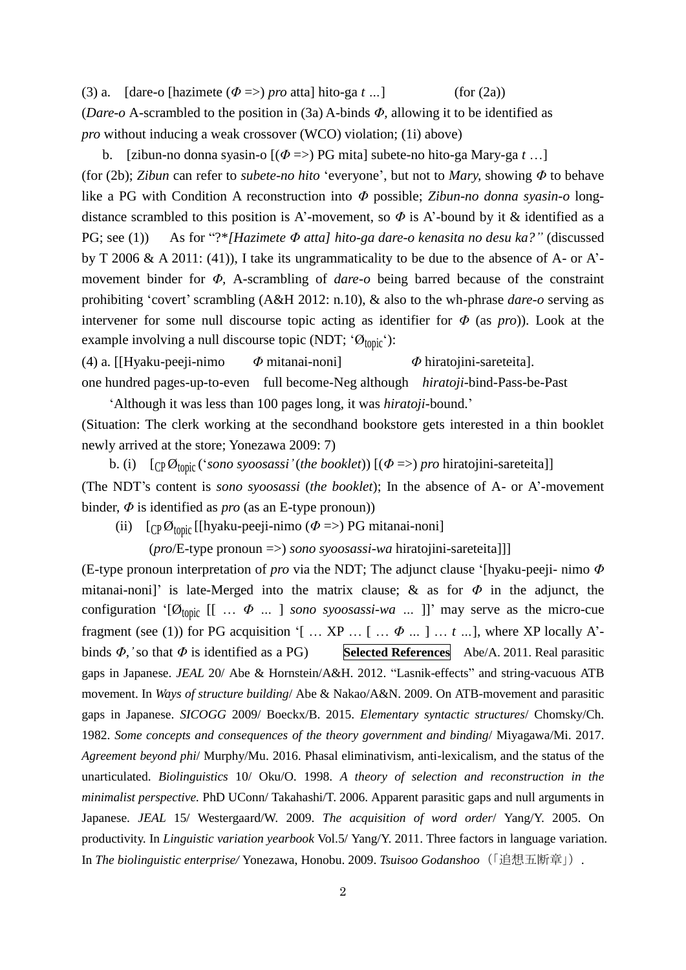(3) a. [dare-o [hazimete  $(\Phi \Rightarrow)$  *pro* atta] hito-ga *t* ...] (for (2a)) (*Dare-o* A-scrambled to the position in (3a) A-binds *Φ,* allowing it to be identified as *pro* without inducing a weak crossover (WCO) violation; (1i) above)

 b. [zibun-no donna syasin-o [(*Φ* =>) PG mita] subete-no hito-ga Mary-ga *t* …] (for (2b); *Zibun* can refer to *subete-no hito* 'everyone', but not to *Mary,* showing *Φ* to behave like a PG with Condition A reconstruction into *Φ* possible; *Zibun-no donna syasin-o* longdistance scrambled to this position is A'-movement, so *Φ* is A'-bound by it & identified as a PG; see (1)) As for "?\**[Hazimete Φ atta] hito-ga dare-o kenasita no desu ka?"* (discussed by T 2006 & A 2011: (41)), I take its ungrammaticality to be due to the absence of A- or A' movement binder for *Φ,* A-scrambling of *dare-o* being barred because of the constraint prohibiting 'covert' scrambling (A&H 2012: n.10), & also to the wh-phrase *dare-o* serving as intervener for some null discourse topic acting as identifier for *Φ* (as *pro*)). Look at the example involving a null discourse topic (NDT;  $^{\circ}\mathcal{O}_{\text{topic}}$ ):

(4) a. [[Hyaku-peeji-nimo *Φ* mitanai-noni] *Φ* hiratojini-sareteita]. one hundred pages-up-to-even full become-Neg although *hiratoji*-bind-Pass-be-Past 'Although it was less than 100 pages long, it was *hiratoji-*bound.'

(Situation: The clerk working at the secondhand bookstore gets interested in a thin booklet newly arrived at the store; Yonezawa 2009: 7)

 b. (i) [CP Øtopic ('*sono syoosassi'*(*the booklet*)) [(*Φ* =>) *pro* hiratojini-sareteita]] (The NDT's content is *sono syoosassi* (*the booklet*); In the absence of A- or A'-movement binder, *Φ* is identified as *pro* (as an E-type pronoun))

(ii) [CP Øtopic [[hyaku-peeji-nimo (*Φ* =>) PG mitanai-noni]

(*pro*/E-type pronoun =>) *sono syoosassi-wa* hiratojini-sareteita]]]

(E-type pronoun interpretation of *pro* via the NDT; The adjunct clause '[hyaku-peeji- nimo *Φ* mitanai-noni]' is late-Merged into the matrix clause; & as for *Φ* in the adjunct, the configuration ' $[\emptyset_{\text{topic}}$  [[  $\ldots \Phi \ldots]$  *sono syoosassi-wa*  $\ldots$  ]]' may serve as the micro-cue fragment (see (1)) for PG acquisition '[ ...  $XP$  ... [ ...  $\Phi$  ... ] ...  $t$  ...], where XP locally A'binds *Φ,'*so that *Φ* is identified as a PG) **Selected References** Abe/A. 2011. Real parasitic gaps in Japanese. *JEAL* 20/ Abe & Hornstein/A&H. 2012. "Lasnik-effects" and string-vacuous ATB movement. In *Ways of structure building*/ Abe & Nakao/A&N. 2009. On ATB-movement and parasitic gaps in Japanese. *SICOGG* 2009/ Boeckx/B. 2015. *Elementary syntactic structures*/ Chomsky/Ch. 1982. *Some concepts and consequences of the theory government and binding*/ Miyagawa/Mi. 2017. *Agreement beyond phi*/ Murphy/Mu. 2016. Phasal eliminativism, anti-lexicalism, and the status of the unarticulated. *Biolinguistics* 10/ Oku/O. 1998. *A theory of selection and reconstruction in the minimalist perspective.* PhD UConn/ Takahashi/T. 2006. Apparent parasitic gaps and null arguments in Japanese. *JEAL* 15/ Westergaard/W. 2009. *The acquisition of word order*/ Yang/Y. 2005. On productivity. In *Linguistic variation yearbook* Vol.5/ Yang/Y. 2011. Three factors in language variation. In *The biolinguistic enterprise/* Yonezawa, Honobu. 2009. *Tsuisoo Godanshoo*(「追想五断章」).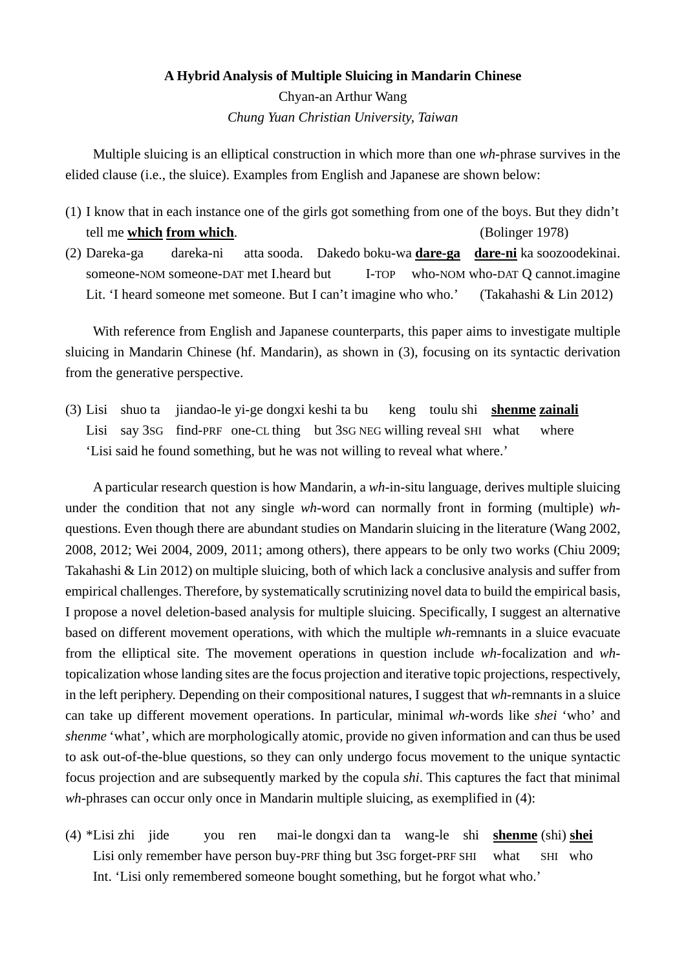# **A Hybrid Analysis of Multiple Sluicing in Mandarin Chinese** Chyan-an Arthur Wang

*Chung Yuan Christian University, Taiwan*

Multiple sluicing is an elliptical construction in which more than one *wh*-phrase survives in the elided clause (i.e., the sluice). Examples from English and Japanese are shown below:

- (1) I know that in each instance one of the girls got something from one of the boys. But they didn't tell me **which from which**. (Bolinger 1978)
- (2) Dareka-ga dareka-ni atta sooda. Dakedo boku-wa **dare-ga dare-ni** ka soozoodekinai. someone-NOM someone-DAT met I.heard but I-TOP who-NOM who-DAT Q cannot.imagine Lit. 'I heard someone met someone. But I can't imagine who who.' (Takahashi & Lin 2012)

With reference from English and Japanese counterparts, this paper aims to investigate multiple sluicing in Mandarin Chinese (hf. Mandarin), as shown in (3), focusing on its syntactic derivation from the generative perspective.

(3) Lisi shuo ta jiandao-le yi-ge dongxi keshi ta bu keng toulu shi **shenme zainali** Lisi say 3SG find-PRF one-CL thing but 3SG NEG willing reveal SHI what where 'Lisi said he found something, but he was not willing to reveal what where.'

A particular research question is how Mandarin, a *wh*-in-situ language, derives multiple sluicing under the condition that not any single *wh*-word can normally front in forming (multiple) *wh*questions. Even though there are abundant studies on Mandarin sluicing in the literature (Wang 2002, 2008, 2012; Wei 2004, 2009, 2011; among others), there appears to be only two works (Chiu 2009; Takahashi & Lin 2012) on multiple sluicing, both of which lack a conclusive analysis and suffer from empirical challenges. Therefore, by systematically scrutinizing novel data to build the empirical basis, I propose a novel deletion-based analysis for multiple sluicing. Specifically, I suggest an alternative based on different movement operations, with which the multiple *wh*-remnants in a sluice evacuate from the elliptical site. The movement operations in question include *wh*-focalization and *wh*topicalization whose landing sites are the focus projection and iterative topic projections, respectively, in the left periphery. Depending on their compositional natures, I suggest that *wh*-remnants in a sluice can take up different movement operations. In particular, minimal *wh*-words like *shei* 'who' and *shenme* 'what', which are morphologically atomic, provide no given information and can thus be used to ask out-of-the-blue questions, so they can only undergo focus movement to the unique syntactic focus projection and are subsequently marked by the copula *shi*. This captures the fact that minimal *wh*-phrases can occur only once in Mandarin multiple sluicing, as exemplified in (4):

(4) \*Lisi zhi jide you ren mai-le dongxi dan ta wang-le shi **shenme** (shi) **shei** Lisi only remember have person buy-PRF thing but 3sG forget-PRF SHI what SHI who Int. 'Lisi only remembered someone bought something, but he forgot what who.'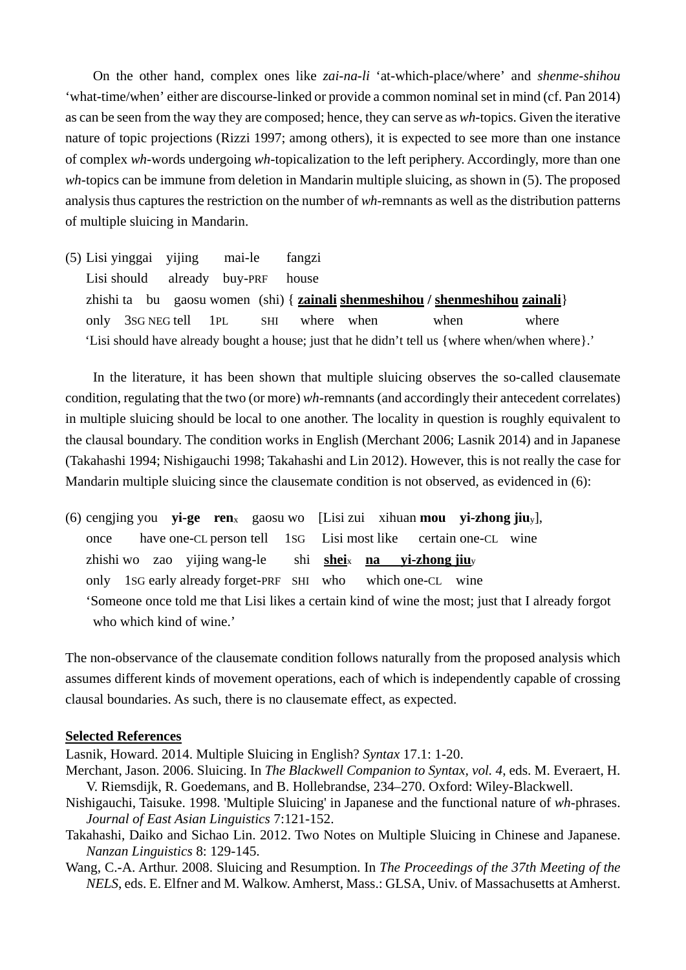On the other hand, complex ones like *zai-na-li* 'at-which-place/where' and *shenme-shihou*  'what-time/when' either are discourse-linked or provide a common nominal set in mind (cf. Pan 2014) as can be seen from the way they are composed; hence, they can serve as *wh*-topics. Given the iterative nature of topic projections (Rizzi 1997; among others), it is expected to see more than one instance of complex *wh*-words undergoing *wh*-topicalization to the left periphery. Accordingly, more than one *wh*-topics can be immune from deletion in Mandarin multiple sluicing, as shown in (5). The proposed analysis thus captures the restriction on the number of *wh*-remnants as well as the distribution patterns of multiple sluicing in Mandarin.

(5) Lisi yinggai yijing mai-le fangzi Lisi should already buy-PRF house zhishi ta bu gaosu women (shi) { **zainali shenmeshihou / shenmeshihou zainali**} only 3sG NEG tell 1PL SHI where when when where 'Lisi should have already bought a house; just that he didn't tell us {where when/when where}.'

In the literature, it has been shown that multiple sluicing observes the so-called clausemate condition, regulating that the two (or more) *wh*-remnants (and accordingly their antecedent correlates) in multiple sluicing should be local to one another. The locality in question is roughly equivalent to the clausal boundary. The condition works in English (Merchant 2006; Lasnik 2014) and in Japanese (Takahashi 1994; Nishigauchi 1998; Takahashi and Lin 2012). However, this is not really the case for Mandarin multiple sluicing since the clausemate condition is not observed, as evidenced in (6):

(6) cengjing you **yi-ge ren**x gaosu wo [Lisi zui xihuan **mou yi-zhong jiu**y], once have one-CL person tell 1SG Lisi most like certain one-CL wine zhishi wo zao yijing wang-le shi **shei**x **na yi-zhong jiu**<sup>y</sup> only 1SG early already forget-PRF SHI who which one-CL wine 'Someone once told me that Lisi likes a certain kind of wine the most; just that I already forgot who which kind of wine.'

The non-observance of the clausemate condition follows naturally from the proposed analysis which assumes different kinds of movement operations, each of which is independently capable of crossing clausal boundaries. As such, there is no clausemate effect, as expected.

### **Selected References**

Lasnik, Howard. 2014. Multiple Sluicing in English? *Syntax* 17.1: 1-20.

- Merchant, Jason. 2006. Sluicing. In *The Blackwell Companion to Syntax, vol. 4*, eds. M. Everaert, H. V. Riemsdijk, R. Goedemans, and B. Hollebrandse, 234–270. Oxford: Wiley-Blackwell.
- Nishigauchi, Taisuke. 1998. 'Multiple Sluicing' in Japanese and the functional nature of *wh*-phrases. *Journal of East Asian Linguistics* 7:121-152.
- Takahashi, Daiko and Sichao Lin. 2012. Two Notes on Multiple Sluicing in Chinese and Japanese. *Nanzan Linguistics* 8: 129-145.
- Wang, C.-A. Arthur. 2008. Sluicing and Resumption. In *The Proceedings of the 37th Meeting of the NELS*, eds. E. Elfner and M. Walkow. Amherst, Mass.: GLSA, Univ. of Massachusetts at Amherst.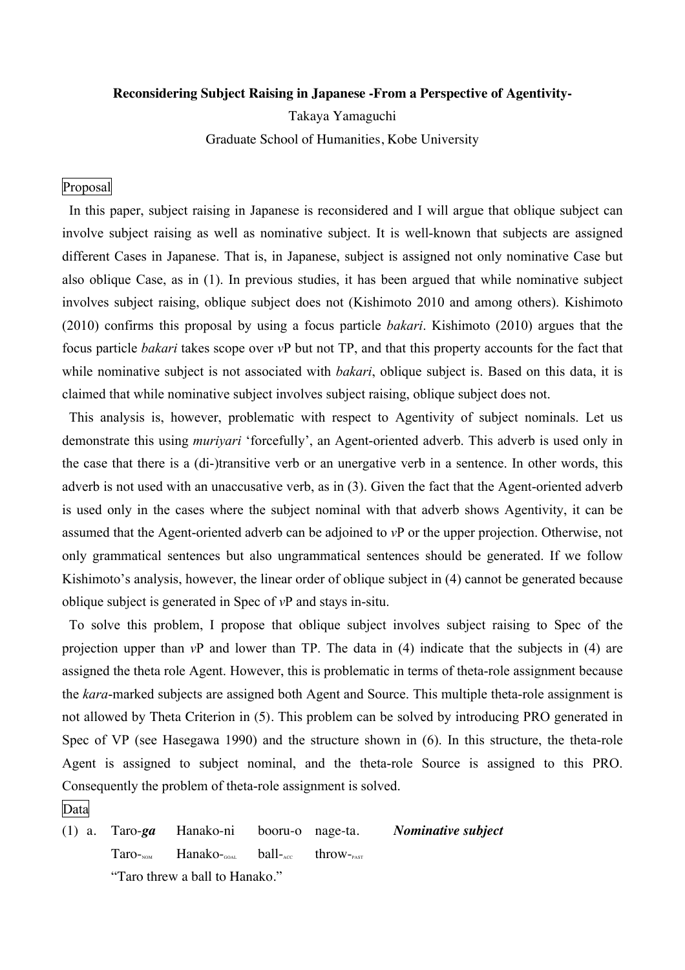### **Reconsidering Subject Raising in Japanese -From a Perspective of Agentivity-**

Takaya Yamaguchi

Graduate School of Humanities, Kobe University

## Proposal

In this paper, subject raising in Japanese is reconsidered and I will argue that oblique subject can involve subject raising as well as nominative subject. It is well-known that subjects are assigned different Cases in Japanese. That is, in Japanese, subject is assigned not only nominative Case but also oblique Case, as in (1). In previous studies, it has been argued that while nominative subject involves subject raising, oblique subject does not (Kishimoto 2010 and among others). Kishimoto (2010) confirms this proposal by using a focus particle *bakari*. Kishimoto (2010) argues that the focus particle *bakari* takes scope over *v*P but not TP, and that this property accounts for the fact that while nominative subject is not associated with *bakari*, oblique subject is. Based on this data, it is claimed that while nominative subject involves subject raising, oblique subject does not.

This analysis is, however, problematic with respect to Agentivity of subject nominals. Let us demonstrate this using *muriyari* 'forcefully', an Agent-oriented adverb. This adverb is used only in the case that there is a (di-)transitive verb or an unergative verb in a sentence. In other words, this adverb is not used with an unaccusative verb, as in (3). Given the fact that the Agent-oriented adverb is used only in the cases where the subject nominal with that adverb shows Agentivity, it can be assumed that the Agent-oriented adverb can be adjoined to *v*P or the upper projection. Otherwise, not only grammatical sentences but also ungrammatical sentences should be generated. If we follow Kishimoto's analysis, however, the linear order of oblique subject in (4) cannot be generated because oblique subject is generated in Spec of *v*P and stays in-situ.

To solve this problem, I propose that oblique subject involves subject raising to Spec of the projection upper than *v*P and lower than TP. The data in (4) indicate that the subjects in (4) are assigned the theta role Agent. However, this is problematic in terms of theta-role assignment because the *kara*-marked subjects are assigned both Agent and Source. This multiple theta-role assignment is not allowed by Theta Criterion in (5). This problem can be solved by introducing PRO generated in Spec of VP (see Hasegawa 1990) and the structure shown in (6). In this structure, the theta-role Agent is assigned to subject nominal, and the theta-role Source is assigned to this PRO. Consequently the problem of theta-role assignment is solved.

## Data

(1) a. Taro-*ga* Hanako-ni booru-o nage-ta. *Nominative subject*  $Taro_{\text{row}}$  Hanako- $\text{call}_{\text{corr}}$  throw-"Taro threw a ball to Hanako."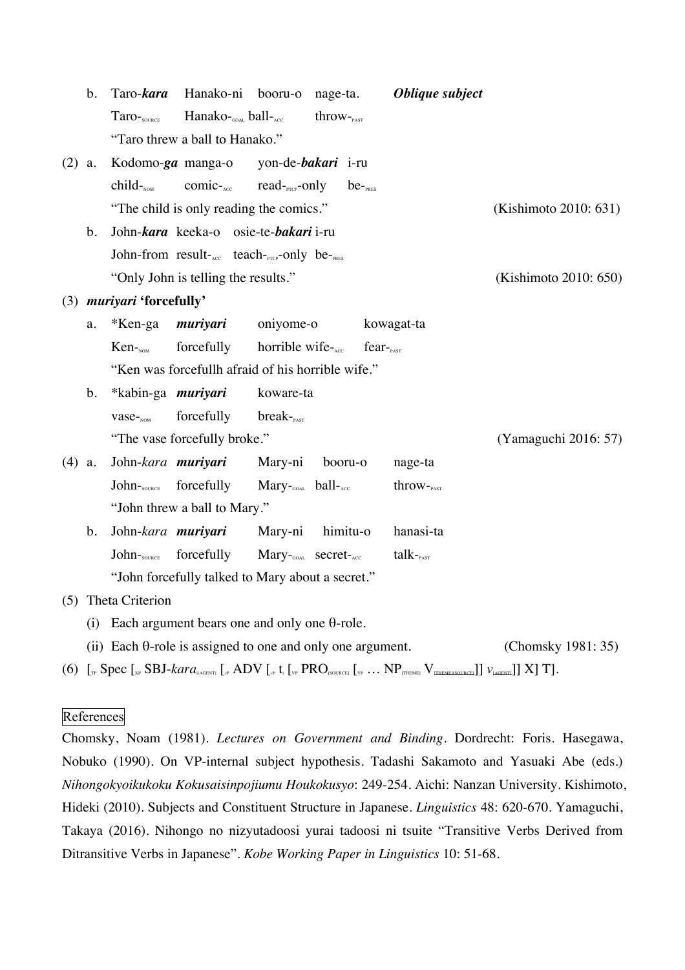|          | $\mathbf b$ .                                                      | Taro- <i>kara</i>         | Hanako-ni booru-o nage-ta.                           |                                              |                      |                      | Oblique subject                                                                                                                                                                                                                                                                                                                                                                                                                                                                 |                       |
|----------|--------------------------------------------------------------------|---------------------------|------------------------------------------------------|----------------------------------------------|----------------------|----------------------|---------------------------------------------------------------------------------------------------------------------------------------------------------------------------------------------------------------------------------------------------------------------------------------------------------------------------------------------------------------------------------------------------------------------------------------------------------------------------------|-----------------------|
|          |                                                                    | Taro-source               | $Hanako$ <sub>GOAL</sub> ball- $_{acc}$              |                                              | $th row$ - $_{PAST}$ |                      |                                                                                                                                                                                                                                                                                                                                                                                                                                                                                 |                       |
|          | "Taro threw a ball to Hanako."                                     |                           |                                                      |                                              |                      |                      |                                                                                                                                                                                                                                                                                                                                                                                                                                                                                 |                       |
| $(2)$ a. |                                                                    |                           | Kodomo-ga manga-o yon-de-bakari i-ru                 |                                              |                      |                      |                                                                                                                                                                                                                                                                                                                                                                                                                                                                                 |                       |
|          |                                                                    | $child$ <sub>NOM</sub>    | $comic-acc$ read- $_{\text{prcp}}$ -only             |                                              |                      | $be$ - $_{PRES}$     |                                                                                                                                                                                                                                                                                                                                                                                                                                                                                 |                       |
|          |                                                                    |                           | "The child is only reading the comics."              |                                              |                      |                      |                                                                                                                                                                                                                                                                                                                                                                                                                                                                                 | (Kishimoto 2010: 631) |
|          | b.                                                                 |                           | John-kara keeka-o osie-te-bakari i-ru                |                                              |                      |                      |                                                                                                                                                                                                                                                                                                                                                                                                                                                                                 |                       |
|          |                                                                    |                           | John-from result-Acc teach-PTCP-Only be-PRES         |                                              |                      |                      |                                                                                                                                                                                                                                                                                                                                                                                                                                                                                 |                       |
|          |                                                                    |                           | "Only John is telling the results."                  |                                              |                      |                      |                                                                                                                                                                                                                                                                                                                                                                                                                                                                                 | (Kishimoto 2010: 650) |
|          |                                                                    | (3) muriyari 'forcefully' |                                                      |                                              |                      |                      |                                                                                                                                                                                                                                                                                                                                                                                                                                                                                 |                       |
|          | a.                                                                 | *Ken-ga                   | muriyari                                             | oniyome-o                                    |                      |                      | kowagat-ta                                                                                                                                                                                                                                                                                                                                                                                                                                                                      |                       |
|          |                                                                    | $Ken$ - $_{NOM}$          | forcefully                                           | horrible wife-ACC                            |                      | $fear_{\text{past}}$ |                                                                                                                                                                                                                                                                                                                                                                                                                                                                                 |                       |
|          |                                                                    |                           | "Ken was forcefullh afraid of his horrible wife."    |                                              |                      |                      |                                                                                                                                                                                                                                                                                                                                                                                                                                                                                 |                       |
|          | $\mathbf b$ .                                                      | *kabin-ga <i>muriyari</i> |                                                      | koware-ta                                    |                      |                      |                                                                                                                                                                                                                                                                                                                                                                                                                                                                                 |                       |
|          |                                                                    | $vase$ <sub>NOM</sub>     | forcefully                                           | $break_{\text{past}}$                        |                      |                      |                                                                                                                                                                                                                                                                                                                                                                                                                                                                                 |                       |
|          |                                                                    |                           | "The vase forcefully broke."                         |                                              |                      |                      |                                                                                                                                                                                                                                                                                                                                                                                                                                                                                 | (Yamaguchi 2016: 57)  |
| $(4)$ a. |                                                                    | John-kara muriyari        |                                                      | Mary-ni                                      | booru-o              |                      | nage-ta                                                                                                                                                                                                                                                                                                                                                                                                                                                                         |                       |
|          |                                                                    | John-source forcefully    |                                                      | Mary-GOAL ball-ACC                           |                      |                      | $th row$ - $_{PAST}$                                                                                                                                                                                                                                                                                                                                                                                                                                                            |                       |
|          |                                                                    |                           | "John threw a ball to Mary."                         |                                              |                      |                      |                                                                                                                                                                                                                                                                                                                                                                                                                                                                                 |                       |
|          | b.                                                                 |                           | John- <i>kara <b>muriyari</b></i>                    | Mary-ni                                      | himitu-o             |                      | hanasi-ta                                                                                                                                                                                                                                                                                                                                                                                                                                                                       |                       |
|          |                                                                    | John-SOURCE               | forcefully                                           | Mary- <sub>GOAL</sub> secret- <sub>ACC</sub> |                      |                      | $talk$ - $_{\text{past}}$                                                                                                                                                                                                                                                                                                                                                                                                                                                       |                       |
|          |                                                                    |                           | "John forcefully talked to Mary about a secret."     |                                              |                      |                      |                                                                                                                                                                                                                                                                                                                                                                                                                                                                                 |                       |
|          |                                                                    | (5) Theta Criterion       |                                                      |                                              |                      |                      |                                                                                                                                                                                                                                                                                                                                                                                                                                                                                 |                       |
|          | (i)                                                                |                           | Each argument bears one and only one $\theta$ -role. |                                              |                      |                      |                                                                                                                                                                                                                                                                                                                                                                                                                                                                                 |                       |
|          | (ii) Each $\theta$ -role is assigned to one and only one argument. |                           |                                                      |                                              |                      |                      | (Chomsky 1981: 35)                                                                                                                                                                                                                                                                                                                                                                                                                                                              |                       |
|          |                                                                    |                           |                                                      |                                              |                      |                      | (6) $\left[ {}_{\text{tr}}\text{Spec}\left[ {}_{\text{tr}}\text{SBJ-kara}_{\text{GAGENTI}}\left[ {}_{\text{tr}}\text{ADV}\left[ {}_{\text{tr}}\text{t_i}\left[ {}_{\text{VP}}\text{PRO}_{\text{SOLRCEI}}\left[ {}_{\text{VP}}\ldots \text{NP}\left[ {}_{\text{THEMEI}}\text{V}\left[ {}_{\text{THEMEISOLRCEI}}\right]\right] \right. \right)\right. \right) \text{ and } \left[ \text{V}_{\text{GAGENTI}}\right]\right] \text{X} \text{ or } \left[ \text{V}_{\text{GAGENTI}}\$ |                       |

## **References**

Chomsky, Noam (1981). *Lectures on Government and Binding*. Dordrecht: Foris. Hasegawa, Nobuko (1990). On VP-internal subject hypothesis. Tadashi Sakamoto and Yasuaki Abe (eds.) *Nihongokyoikukoku Kokusaisinpojiumu Houkokusyo*: 249-254. Aichi: Nanzan University. Kishimoto, Hideki (2010). Subjects and Constituent Structure in Japanese. *Linguistics* 48: 620-670. Yamaguchi, Takaya (2016). Nihongo no nizyutadoosi yurai tadoosi ni tsuite "Transitive Verbs Derived from Ditransitive Verbs in Japanese". *Kobe Working Paper in Linguistics* 10: 51-68.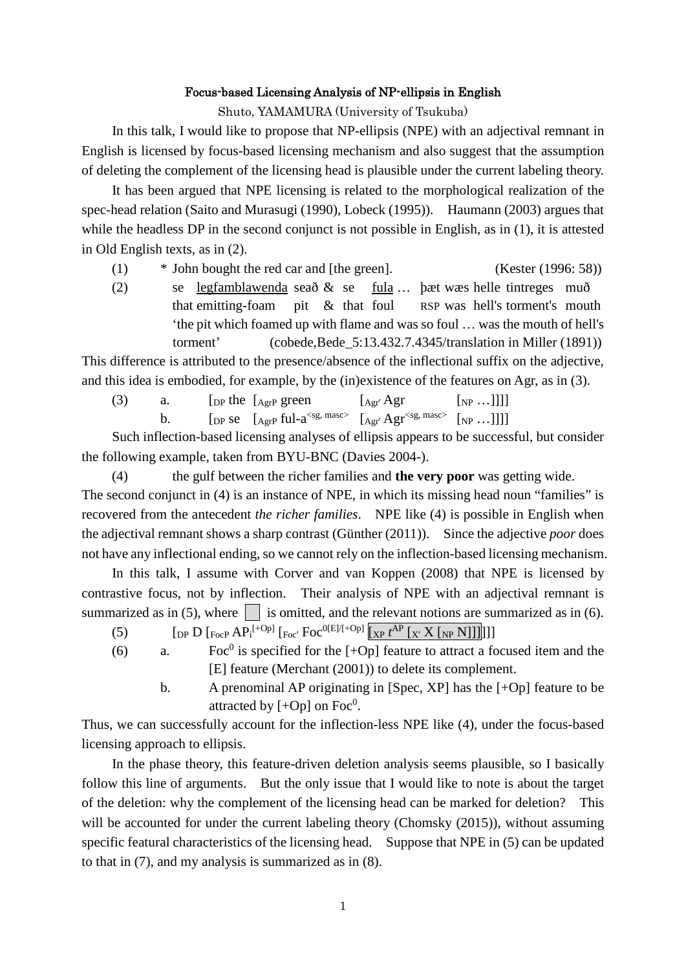### Focus-based Licensing Analysis of NP-ellipsis in English

Shuto, YAMAMURA (University of Tsukuba)

In this talk, I would like to propose that NP-ellipsis (NPE) with an adjectival remnant in English is licensed by focus-based licensing mechanism and also suggest that the assumption of deleting the complement of the licensing head is plausible under the current labeling theory.

It has been argued that NPE licensing is related to the morphological realization of the spec-head relation (Saito and Murasugi (1990), Lobeck (1995)). Haumann (2003) argues that while the headless DP in the second conjunct is not possible in English, as in (1), it is attested in Old English texts, as in (2).

(1) \* John bought the red car and [the green]. (Kester (1996: 58))

(2) se legfamblawenda seað & se fula … þæt wæs helle tintreges muð that emitting-foam pit & that foul RSP was hell's torment's mouth 'the pit which foamed up with flame and was so foul … was the mouth of hell's torment' (cobede,Bede\_5:13.432.7.4345/translation in Miller (1891))

This difference is attributed to the presence/absence of the inflectional suffix on the adjective, and this idea is embodied, for example, by the (in)existence of the features on Agr, as in (3).

- (3) a. [DP the  $[A_{\text{gr}}P \text{ green}$   $[A_{\text{gr}}' \text{Agr} \quad [N_{\text{P}} \dots]]]]$ 
	- b.  $\left[\int \int \int \text{P} \, \text{S} \text{P} \left[ A \text{P} \right] \text{P} \left[ \text{P} \right] \text{P} \left[ \text{P} \right] \text{P} \left[ \text{P} \right] \text{P} \left[ \text{P} \right] \text{P} \left[ \text{P} \right] \text{P} \left[ \text{P} \right] \text{P} \left[ \text{P} \right] \text{P} \left[ \text{P} \right] \text{P} \left[ \text{P} \right] \text{P} \left[ \text{P} \right] \text{P} \left[ \text{P} \right] \text{P$

Such inflection-based licensing analyses of ellipsis appears to be successful, but consider the following example, taken from BYU-BNC (Davies 2004-).

(4) the gulf between the richer families and **the very poor** was getting wide. The second conjunct in (4) is an instance of NPE, in which its missing head noun "families" is recovered from the antecedent *the richer families*. NPE like (4) is possible in English when the adjectival remnant shows a sharp contrast (Günther (2011)). Since the adjective *poor* does not have any inflectional ending, so we cannot rely on the inflection-based licensing mechanism.

In this talk, I assume with Corver and van Koppen (2008) that NPE is licensed by contrastive focus, not by inflection. Their analysis of NPE with an adjectival remnant is summarized as in (5), where is omitted, and the relevant notions are summarized as in (6).

- (5)  $\left[ \text{DP } D \left[ \text{FocP } AP_i^{[+Op]} \left[ \text{Foc'} \text{Foc}^{0[E]/[+Op]} \left[ \text{KP } t^{\text{AP}} \left[ \text{K}^{\text{Y}} X \left[ \text{NP } N \right] \right] \right] \right] \right] \right]$
- (6) a. Foc<sup>0</sup> is specified for the  $[-Op]$  feature to attract a focused item and the [E] feature (Merchant (2001)) to delete its complement.
	- b. A prenominal AP originating in [Spec, XP] has the [+Op] feature to be attracted by  $[+Op]$  on Foc<sup>0</sup>.

Thus, we can successfully account for the inflection-less NPE like (4), under the focus-based licensing approach to ellipsis.

In the phase theory, this feature-driven deletion analysis seems plausible, so I basically follow this line of arguments. But the only issue that I would like to note is about the target of the deletion: why the complement of the licensing head can be marked for deletion? This will be accounted for under the current labeling theory (Chomsky (2015)), without assuming specific featural characteristics of the licensing head. Suppose that NPE in (5) can be updated to that in (7), and my analysis is summarized as in (8).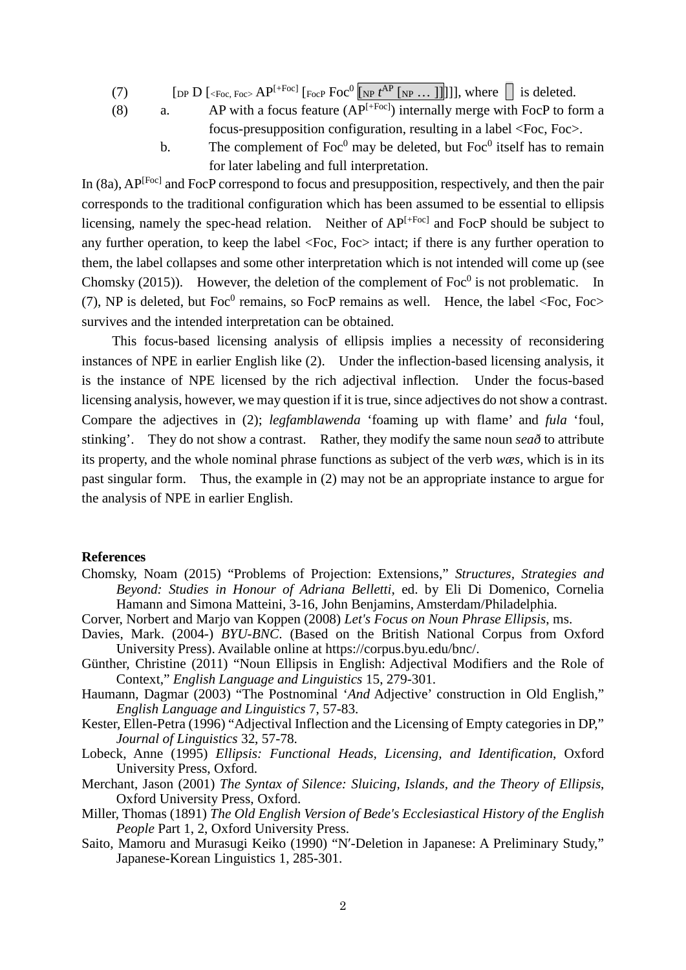- (7)  $\qquad \qquad [\text{DP } D \; [\text{100} \; \text{Foc}, \text{Foc} \; \text{AP}^{[+Foc]} \; [\text{Foc} \; \text{Foc}^0 \; [\text{NP } t^{\text{AP}} \; [\text{NP } \dots \; ]]]]]], \text{ where } \Box \text{ is deleted.}$ 
	-
- (8) a. AP with a focus feature  $AP^{[+Foc]}$  internally merge with FocP to form a focus-presupposition configuration, resulting in a label <Foc, Foc>.
	- b. The complement of  $Foc^0$  may be deleted, but  $Foc^0$  itself has to remain for later labeling and full interpretation.

In (8a), AP<sup>[Foc]</sup> and FocP correspond to focus and presupposition, respectively, and then the pair corresponds to the traditional configuration which has been assumed to be essential to ellipsis licensing, namely the spec-head relation. Neither of  $AP^{[+Foc]}$  and FocP should be subject to any further operation, to keep the label <Foc, Foc> intact; if there is any further operation to them, the label collapses and some other interpretation which is not intended will come up (see Chomsky (2015)). However, the deletion of the complement of  $Foc^0$  is not problematic. In (7), NP is deleted, but Foc<sup>0</sup> remains, so FocP remains as well. Hence, the label  $\langle$ Foc, Foc $\rangle$ survives and the intended interpretation can be obtained.

This focus-based licensing analysis of ellipsis implies a necessity of reconsidering instances of NPE in earlier English like (2). Under the inflection-based licensing analysis, it is the instance of NPE licensed by the rich adjectival inflection. Under the focus-based licensing analysis, however, we may question if it is true, since adjectives do not show a contrast. Compare the adjectives in (2); *legfamblawenda* 'foaming up with flame' and *fula* 'foul, stinking'. They do not show a contrast. Rather, they modify the same noun *seað* to attribute its property, and the whole nominal phrase functions as subject of the verb *wæs*, which is in its past singular form. Thus, the example in (2) may not be an appropriate instance to argue for the analysis of NPE in earlier English.

### **References**

- Chomsky, Noam (2015) "Problems of Projection: Extensions," *Structures, Strategies and Beyond: Studies in Honour of Adriana Belletti*, ed. by Eli Di Domenico, Cornelia Hamann and Simona Matteini, 3-16, John Benjamins, Amsterdam/Philadelphia.
- Corver, Norbert and Marjo van Koppen (2008) *Let's Focus on Noun Phrase Ellipsis*, ms.
- Davies, Mark. (2004-) *BYU-BNC*. (Based on the British National Corpus from Oxford University Press). Available online at https://corpus.byu.edu/bnc/.
- Günther, Christine (2011) "Noun Ellipsis in English: Adjectival Modifiers and the Role of Context," *English Language and Linguistics* 15, 279-301.
- Haumann, Dagmar (2003) "The Postnominal '*And* Adjective' construction in Old English," *English Language and Linguistics* 7, 57-83.
- Kester, Ellen-Petra (1996) "Adjectival Inflection and the Licensing of Empty categories in DP," *Journal of Linguistics* 32, 57-78.
- Lobeck, Anne (1995) *Ellipsis: Functional Heads, Licensing, and Identification*, Oxford University Press, Oxford.
- Merchant, Jason (2001) *The Syntax of Silence: Sluicing, Islands, and the Theory of Ellipsis*, Oxford University Press, Oxford.
- Miller, Thomas (1891) *The Old English Version of Bede's Ecclesiastical History of the English People* Part 1, 2, Oxford University Press.
- Saito, Mamoru and Murasugi Keiko (1990) "N′-Deletion in Japanese: A Preliminary Study," Japanese-Korean Linguistics 1, 285-301.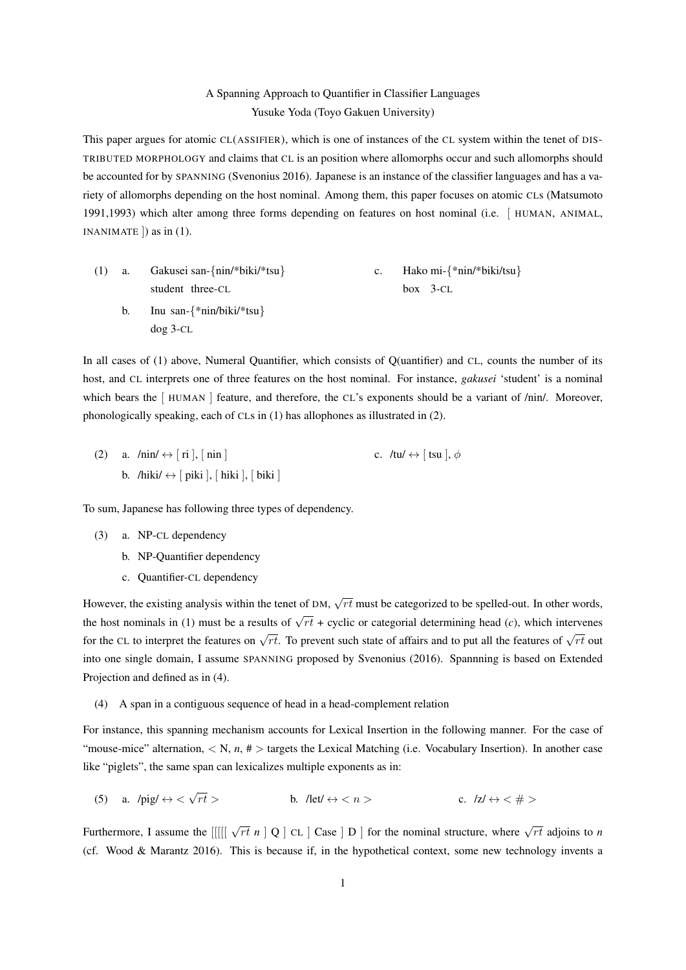## A Spanning Approach to Quantifier in Classifier Languages Yusuke Yoda (Toyo Gakuen University)

This paper argues for atomic CL(ASSIFIER), which is one of instances of the CL system within the tenet of DIS-TRIBUTED MORPHOLOGY and claims that CL is an position where allomorphs occur and such allomorphs should be accounted for by SPANNING (Svenonius 2016). Japanese is an instance of the classifier languages and has a variety of allomorphs depending on the host nominal. Among them, this paper focuses on atomic CLs (Matsumoto 1991,1993) which alter among three forms depending on features on host nominal (i.e. [ HUMAN, ANIMAL, INANIMATE  $\vert$ ) as in (1).

|    | (1) a. Gakusei san-{ $\min$ *biki/*tsu}  | Hako mi- $\{\text{*min}/\text{*biki/tsu}\}$ |
|----|------------------------------------------|---------------------------------------------|
|    | student three-CL                         | $box$ 3-CL                                  |
| b. | Inu san- $\{\text{*nin/biki/*}$ tsu $\}$ |                                             |
|    | $\log 3$ -CL                             |                                             |

In all cases of (1) above, Numeral Quantifier, which consists of Q(uantifier) and CL, counts the number of its host, and CL interprets one of three features on the host nominal. For instance, *gakusei* 'student' is a nominal which bears the [HUMAN ] feature, and therefore, the CL's exponents should be a variant of /nin/. Moreover, phonologically speaking, each of CLs in (1) has allophones as illustrated in (2).

(2) a.  $/nin/ \leftrightarrow [ri], [nin]$ b. /hiki/  $\leftrightarrow$  [ piki ], [ hiki ], [ biki ] c. /tu/  $\leftrightarrow$  [ tsu ],  $\phi$ 

To sum, Japanese has following three types of dependency.

- (3) a. NP-CL dependency
	- b. NP-Quantifier dependency
	- c. Quantifier-CL dependency

However, the existing analysis within the tenet of DM, *√ rt* must be categorized to be spelled-out. In other words, the host nominals in (1) must be a results of  $\sqrt{rt}$  + cyclic or categorial determining head (*c*), which intervenes for the CL to interpret the features on  $\sqrt{rt}$ . To prevent such state of affairs and to put all the features of  $\sqrt{rt}$  out into one single domain, I assume SPANNING proposed by Svenonius (2016). Spannning is based on Extended Projection and defined as in (4).

(4) A span in a contiguous sequence of head in a head-complement relation

For instance, this spanning mechanism accounts for Lexical Insertion in the following manner. For the case of "mouse-mice" alternation,  $\langle N, n, # \rangle$  targets the Lexical Matching (i.e. Vocabulary Insertion). In another case like "piglets", the same span can lexicalizes multiple exponents as in:

(5) a.  $\text{/pig/} \leftrightarrow \text{&} \sqrt{}$ *r* b. /let/  $\Leftrightarrow$   $\lt n$  > c. /z/  $\Leftrightarrow$   $\lt \#$  >

Furthermore, I assume the  $[[[[\sqrt{rt} n] Q] CL]$  Case  $] D]$  for the nominal structure, where  $\sqrt{rt}$  adjoins to *n* (cf. Wood & Marantz 2016). This is because if, in the hypothetical context, some new technology invents a